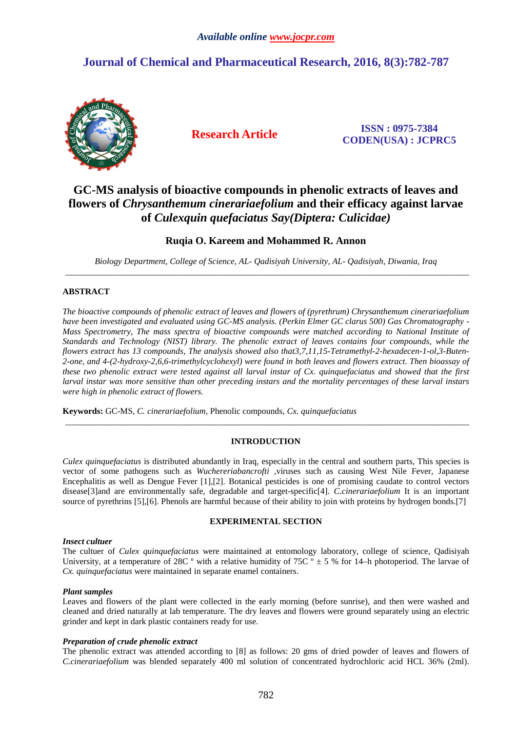# **Journal of Chemical and Pharmaceutical Research, 2016, 8(3):782-787**



**Research Article ISSN : 0975-7384 CODEN(USA) : JCPRC5**

# **GC-MS analysis of bioactive compounds in phenolic extracts of leaves and flowers of** *Chrysanthemum cinerariaefolium* **and their efficacy against larvae of** *Culexquin quefaciatus Say(Diptera: Culicidae)*

# **Ruqia O. Kareem and Mohammed R. Annon**

*Biology Department, College of Science, AL- Qadisiyah University, AL- Qadisiyah, Diwania, Iraq*  \_\_\_\_\_\_\_\_\_\_\_\_\_\_\_\_\_\_\_\_\_\_\_\_\_\_\_\_\_\_\_\_\_\_\_\_\_\_\_\_\_\_\_\_\_\_\_\_\_\_\_\_\_\_\_\_\_\_\_\_\_\_\_\_\_\_\_\_\_\_\_\_\_\_\_\_\_\_\_\_\_\_\_\_\_\_\_\_\_\_\_\_\_

## **ABSTRACT**

*The bioactive compounds of phenolic extract of leaves and flowers of (pyrethrum) Chrysanthemum cinerariaefolium have been investigated and evaluated using GC-MS analysis. (Perkin Elmer GC clarus 500) Gas Chromatography - Mass Spectrometry, The mass spectra of bioactive compounds were matched according to National Institute of Standards and Technology (NIST) library. The phenolic extract of leaves contains four compounds, while the flowers extract has 13 compounds, The analysis showed also that3,7,11,15-Tetramethyl-2-hexadecen-1-ol,3-Buten-2-one, and 4-(2-hydroxy-2,6,6-trimethylcyclohexyl) were found in both leaves and flowers extract. Then bioassay of these two phenolic extract were tested against all larval instar of Cx. quinquefaciatus and showed that the first larval instar was more sensitive than other preceding instars and the mortality percentages of these larval instars were high in phenolic extract of flowers.* 

**Keywords:** GC-MS, *C. cinerariaefolium*, Phenolic compounds, *Cx. quinquefaciatus*

# **INTRODUCTION**

\_\_\_\_\_\_\_\_\_\_\_\_\_\_\_\_\_\_\_\_\_\_\_\_\_\_\_\_\_\_\_\_\_\_\_\_\_\_\_\_\_\_\_\_\_\_\_\_\_\_\_\_\_\_\_\_\_\_\_\_\_\_\_\_\_\_\_\_\_\_\_\_\_\_\_\_\_\_\_\_\_\_\_\_\_\_\_\_\_\_\_\_\_

*Culex quinquefaciatus* is distributed abundantly in Iraq, especially in the central and southern parts, This species is vector of some pathogens such as *Wuchereriabancrofti* ,viruses such as causing West Nile Fever, Japanese Encephalitis as well as Dengue Fever [1],[2]. Botanical pesticides is one of promising caudate to control vectors disease[3]and are environmentally safe, degradable and target-specific[4]. *C.cinerariaefolium* It is an important source of pyrethrins [5],[6]. Phenols are harmful because of their ability to join with proteins by hydrogen bonds.[7]

### **EXPERIMENTAL SECTION**

### *Insect cultuer*

The cultuer of *Culex quinquefaciatus* were maintained at entomology laboratory, college of science, Qadisiyah University, at a temperature of 28C  $\degree$  with a relative humidity of 75C  $\degree$  ± 5 % for 14–h photoperiod. The larvae of *Cx. quinquefaciatus* were maintained in separate enamel containers.

### *Plant samples*

Leaves and flowers of the plant were collected in the early morning (before sunrise), and then were washed and cleaned and dried naturally at lab temperature. The dry leaves and flowers were ground separately using an electric grinder and kept in dark plastic containers ready for use.

### *Preparation of crude phenolic extract*

The phenolic extract was attended according to [8] as follows: 20 gms of dried powder of leaves and flowers of *C.cinerariaefolium* was blended separately 400 ml solution of concentrated hydrochloric acid HCL 36% (2ml).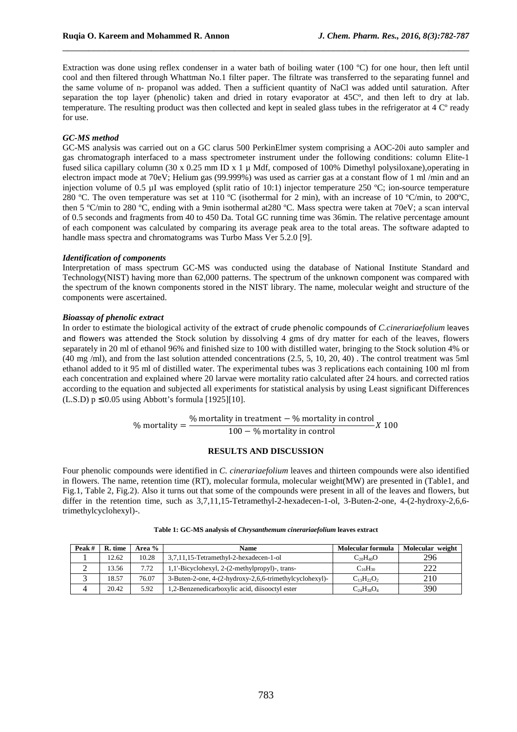Extraction was done using reflex condenser in a water bath of boiling water (100 ºC) for one hour, then left until cool and then filtered through Whattman No.1 filter paper. The filtrate was transferred to the separating funnel and the same volume of n- propanol was added. Then a sufficient quantity of NaCl was added until saturation. After separation the top layer (phenolic) taken and dried in rotary evaporator at 45Cº, and then left to dry at lab. temperature. The resulting product was then collected and kept in sealed glass tubes in the refrigerator at 4 Cº ready for use.

\_\_\_\_\_\_\_\_\_\_\_\_\_\_\_\_\_\_\_\_\_\_\_\_\_\_\_\_\_\_\_\_\_\_\_\_\_\_\_\_\_\_\_\_\_\_\_\_\_\_\_\_\_\_\_\_\_\_\_\_\_\_\_\_\_\_\_\_\_\_\_\_\_\_\_\_\_\_

#### *GC-MS method*

GC-MS analysis was carried out on a GC clarus 500 PerkinElmer system comprising a AOC-20i auto sampler and gas chromatograph interfaced to a mass spectrometer instrument under the following conditions: column Elite-1 fused silica capillary column (30 x 0.25 mm ID x 1 µ Mdf, composed of 100% Dimethyl polysiloxane),operating in electron impact mode at 70eV; Helium gas (99.999%) was used as carrier gas at a constant flow of 1 ml /min and an injection volume of 0.5 µI was employed (split ratio of 10:1) injector temperature 250 °C; ion-source temperature 280 ºC. The oven temperature was set at 110 ºC (isothermal for 2 min), with an increase of 10 ºC/min, to 200ºC, then 5 ºC/min to 280 ºC, ending with a 9min isothermal at280 ºC. Mass spectra were taken at 70eV; a scan interval of 0.5 seconds and fragments from 40 to 450 Da. Total GC running time was 36min. The relative percentage amount of each component was calculated by comparing its average peak area to the total areas. The software adapted to handle mass spectra and chromatograms was Turbo Mass Ver 5.2.0 [9].

#### *Identification of components*

Interpretation of mass spectrum GC-MS was conducted using the database of National Institute Standard and Technology(NIST) having more than 62,000 patterns. The spectrum of the unknown component was compared with the spectrum of the known components stored in the NIST library. The name, molecular weight and structure of the components were ascertained.

#### *Bioassay of phenolic extract*

In order to estimate the biological activity of the extract of crude phenolic compounds of *C.cinerariaefolium* leaves and flowers was attended the Stock solution by dissolving 4 gms of dry matter for each of the leaves, flowers separately in 20 ml of ethanol 96% and finished size to 100 with distilled water, bringing to the Stock solution 4% or (40 mg /ml), and from the last solution attended concentrations (2.5, 5, 10, 20, 40) . The control treatment was 5ml ethanol added to it 95 ml of distilled water. The experimental tubes was 3 replications each containing 100 ml from each concentration and explained where 20 larvae were mortality ratio calculated after 24 hours. and corrected ratios according to the equation and subjected all experiments for statistical analysis by using Least significant Differences  $(L.S.D)$   $p \leq 0.05$  using Abbott's formula [1925][10].

$$
\% \text{ mortality} = \frac{\% \text{ mortality in treatment} - \% \text{ mortality in control}}{100 - \% \text{ mortality in control}} \times 100
$$

### **RESULTS AND DISCUSSION**

Four phenolic compounds were identified in *C. cinerariaefolium* leaves and thirteen compounds were also identified in flowers. The name, retention time (RT), molecular formula, molecular weight(MW) are presented in (Table1, and Fig.1, Table 2, Fig.2). Also it turns out that some of the compounds were present in all of the leaves and flowers, but differ in the retention time, such as  $3,7,11,15$ -Tetramethyl-2-hexadecen-1-ol, 3-Buten-2-one, 4-(2-hydroxy-2,6,6trimethylcyclohexyl)-.

| Peak# | R. time | Area % | Name                                                    | Molecular formula   | Molecular weight |
|-------|---------|--------|---------------------------------------------------------|---------------------|------------------|
|       | 12.62   | 10.28  | 3,7,11,15-Tetramethyl-2-hexadecen-1-ol                  | $C_{20}H_{40}O$     | 296              |
|       | 13.56   | 7.72   | 1,1'-Bicyclohexyl, 2-(2-methylpropyl)-, trans-          | $C_{16}H_{30}$      | つつつ              |
|       | 18.57   | 76.07  | 3-Buten-2-one, 4-(2-hydroxy-2,6,6-trimethylcyclohexyl)- | $C_{13}H_{22}O_{2}$ | 210              |
|       | 20.42   | 5.92   | 1,2-Benzenedicarboxylic acid, diisooctyl ester          | $C_{24}H_{38}O_4$   | 390              |

#### **Table 1: GC-MS analysis of** *Chrysanthemum cinerariaefolium* **leaves extract**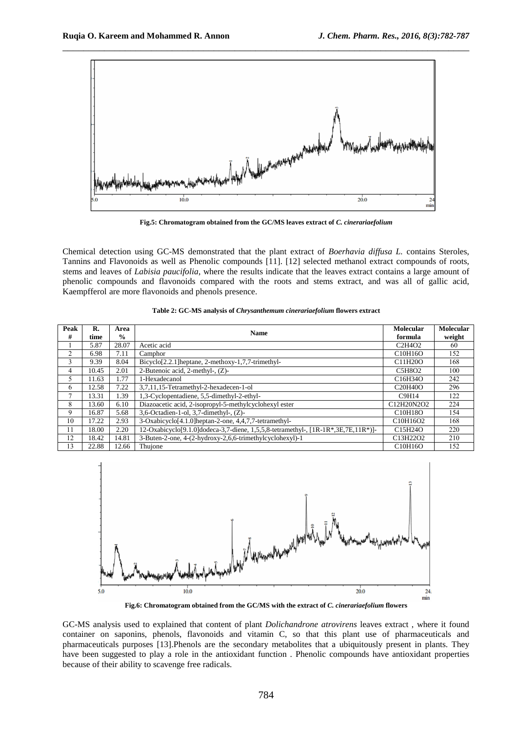

**Fig.5: Chromatogram obtained from the GC/MS leaves extract of** *C. cinerariaefolium*

Chemical detection using GC-MS demonstrated that the plant extract of *Boerhavia diffusa L.* contains Steroles, Tannins and Flavonoids as well as Phenolic compounds [11]. [12] selected methanol extract compounds of roots, stems and leaves of *Labisia paucifolia*, where the results indicate that the leaves extract contains a large amount of phenolic compounds and flavonoids compared with the roots and stems extract, and was all of gallic acid, Kaempfferol are more flavonoids and phenols presence.

| Peak<br>#      | R.<br>time | Area<br>$\frac{0}{0}$ | <b>Name</b>                                                                       | Molecular<br>formula                         | <b>Molecular</b><br>weight |
|----------------|------------|-----------------------|-----------------------------------------------------------------------------------|----------------------------------------------|----------------------------|
|                | 5.87       | 28.07                 | Acetic acid                                                                       | C <sub>2</sub> H <sub>4</sub> O <sub>2</sub> | 60                         |
| $\mathfrak{D}$ | 6.98       | 7.11                  | Camphor                                                                           | C10H16O                                      | 152                        |
| 3              | 9.39       | 8.04                  | Bicyclo <sup>[2.2.1</sup> ] heptane, 2-methoxy-1,7,7-trimethyl-                   | C11H20O                                      | 168                        |
| 4              | 10.45      | 2.01                  | 2-Butenoic acid, 2-methyl-, (Z)-                                                  | C5H8O2                                       | 100                        |
| 5              | 11.63      | 1.77                  | 1-Hexadecanol                                                                     | C <sub>16</sub> H <sub>34</sub> O            | 242                        |
| 6              | 12.58      | 7.22                  | 3,7,11,15-Tetramethyl-2-hexadecen-1-ol                                            | C <sub>20</sub> H <sub>40</sub> O            | 296                        |
| 7              | 13.31      | 1.39                  | 1,3-Cyclopentadiene, 5,5-dimethyl-2-ethyl-                                        | C9H14                                        | 122                        |
| 8              | 13.60      | 6.10                  | Diazoacetic acid, 2-isopropyl-5-methylcyclohexyl ester                            | C12H20N2O2                                   | 224                        |
| 9              | 16.87      | 5.68                  | 3,6-Octadien-1-ol, 3,7-dimethyl-, $(Z)$ -                                         | C <sub>10</sub> H <sub>18</sub> O            | 154                        |
| 10             | 17.22      | 2.93                  | 3-Oxabicyclo <sup>[4.1.0]</sup> heptan-2-one, 4,4,7,7-tetramethyl-                | C10H16O2                                     | 168                        |
| 11             | 18.00      | 2.20                  | 12-Oxabicyclo[9.1.0]dodeca-3,7-diene, 1,5,5,8-tetramethyl-, [1R-1R*,3E,7E,11R*)]- | C <sub>15</sub> H <sub>24</sub> O            | 220                        |
| 12             | 18.42      | 14.81                 | 3-Buten-2-one, 4-(2-hydroxy-2,6,6-trimethylcyclohexyl)-1                          | C13H22O2                                     | 210                        |
| 13             | 22.88      | 12.66                 | Thuione                                                                           | C10H16O                                      | 152                        |

| Table 2: GC-MS analysis of <i>Chrysanthemum cinerariaefolium</i> flowers extract |  |  |  |
|----------------------------------------------------------------------------------|--|--|--|
|----------------------------------------------------------------------------------|--|--|--|



**Fig.6: Chromatogram obtained from the GC/MS with the extract of** *C. cinerariaefolium* **flowers**

GC-MS analysis used to explained that content of plant *Dolichandrone atrovirens* leaves extract , where it found container on saponins, phenols, flavonoids and vitamin C, so that this plant use of pharmaceuticals and pharmaceuticals purposes [13].Phenols are the secondary metabolites that a ubiquitously present in plants. They have been suggested to play a role in the antioxidant function . Phenolic compounds have antioxidant properties because of their ability to scavenge free radicals.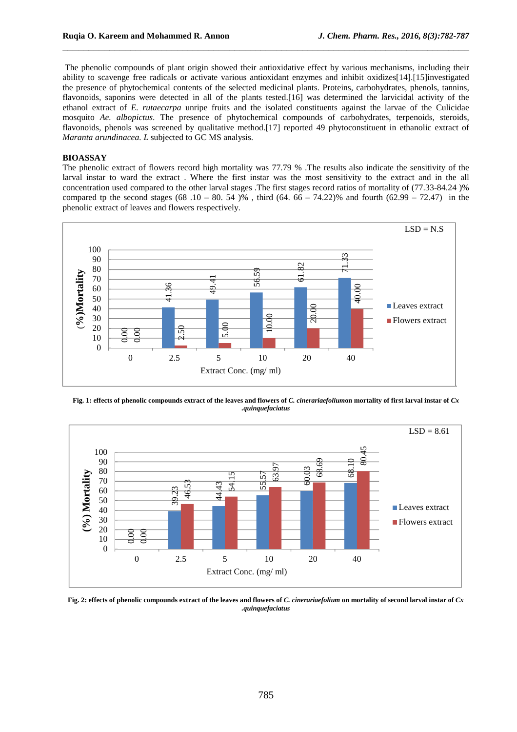The phenolic compounds of plant origin showed their antioxidative effect by various mechanisms, including their ability to scavenge free radicals or activate various antioxidant enzymes and inhibit oxidizes[14].[15]investigated the presence of phytochemical contents of the selected medicinal plants. Proteins, carbohydrates, phenols, tannins, flavonoids, saponins were detected in all of the plants tested.[16] was determined the larvicidal activity of the ethanol extract of *E. rutaecarpa* unripe fruits and the isolated constituents against the larvae of the Culicidae mosquito *Ae. albopictus*. The presence of phytochemical compounds of carbohydrates, terpenoids, steroids, flavonoids, phenols was screened by qualitative method.[17] reported 49 phytoconstituent in ethanolic extract of *Maranta arundinacea. L* subjected to GC MS analysis.

\_\_\_\_\_\_\_\_\_\_\_\_\_\_\_\_\_\_\_\_\_\_\_\_\_\_\_\_\_\_\_\_\_\_\_\_\_\_\_\_\_\_\_\_\_\_\_\_\_\_\_\_\_\_\_\_\_\_\_\_\_\_\_\_\_\_\_\_\_\_\_\_\_\_\_\_\_\_

#### **BIOASSAY**

The phenolic extract of flowers record high mortality was 77.79 % .The results also indicate the sensitivity of the larval instar to ward the extract . Where the first instar was the most sensitivity to the extract and in the all concentration used compared to the other larval stages .The first stages record ratios of mortality of (77.33-84.24 )% compared tp the second stages (68 .10 – 80, 54 )%, third (64, 66 – 74.22)% and fourth (62.99 – 72.47) in the phenolic extract of leaves and flowers respectively.



**Fig. 1: effects of phenolic compounds extract of the leaves and flowers of** *C. cinerariaefolium***on mortality of first larval instar of** *Cx .quinquefaciatus* 



**Fig. 2: effects of phenolic compounds extract of the leaves and flowers of** *C. cinerariaefolium* **on mortality of second larval instar of** *Cx .quinquefaciatus*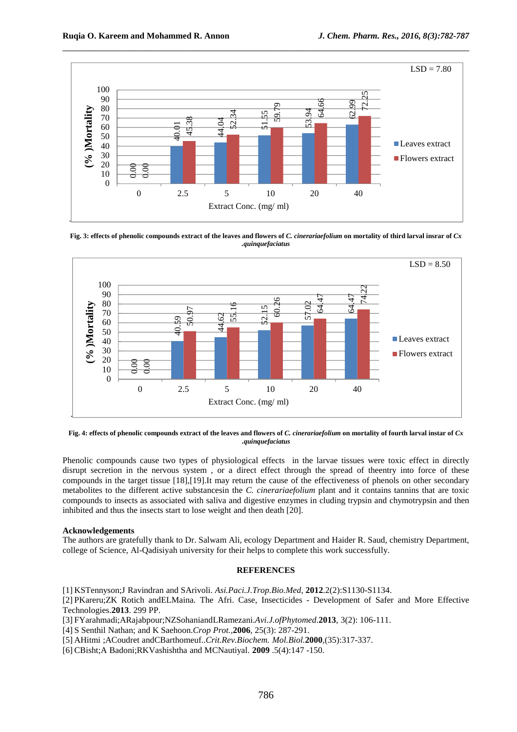

**Fig. 3: effects of phenolic compounds extract of the leaves and flowers of** *C. cinerariaefolium* **on mortality of third larval insrar of** *Cx .quinquefaciatus* 



**Fig. 4: effects of phenolic compounds extract of the leaves and flowers of** *C. cinerariaefolium* **on mortality of fourth larval instar of** *Cx .quinquefaciatus*

Phenolic compounds cause two types of physiological effects in the larvae tissues were toxic effect in directly disrupt secretion in the nervous system , or a direct effect through the spread of theentry into force of these compounds in the target tissue [18],[19].It may return the cause of the effectiveness of phenols on other secondary metabolites to the different active substancesin the *C. cinerariaefolium* plant and it contains tannins that are toxic compounds to insects as associated with saliva and digestive enzymes in cluding trypsin and chymotrypsin and then inhibited and thus the insects start to lose weight and then death [20].

#### **Acknowledgements**

The authors are gratefully thank to Dr. Salwam Ali, ecology Department and Haider R. Saud, chemistry Department, college of Science, Al-Qadisiyah university for their helps to complete this work successfully.

#### **REFERENCES**

[1] KSTennyson;J Ravindran and SArivoli. *Asi.Paci.J.Trop.Bio.Med*, **2012**.2(2):S1130-S1134.

[2] PKareru;ZK Rotich andELMaina. The Afri. Case, Insecticides - Development of Safer and More Effective Technologies.**2013**. 299 PP.

[3] FYarahmadi;ARajabpour;NZSohaniandLRamezani.*Avi.J.ofPhytomed*.**2013**, 3(2): 106-111.

- [4] S Senthil Nathan; and K Saehoon.*Crop Prot.,***2006**, 25(3): 287-291.
- [5] AHitmi ;ACoudret andCBarthomeuf..*Crit.Rev.Biochem. Mol.Biol.***2000**,(35):317-337.
-